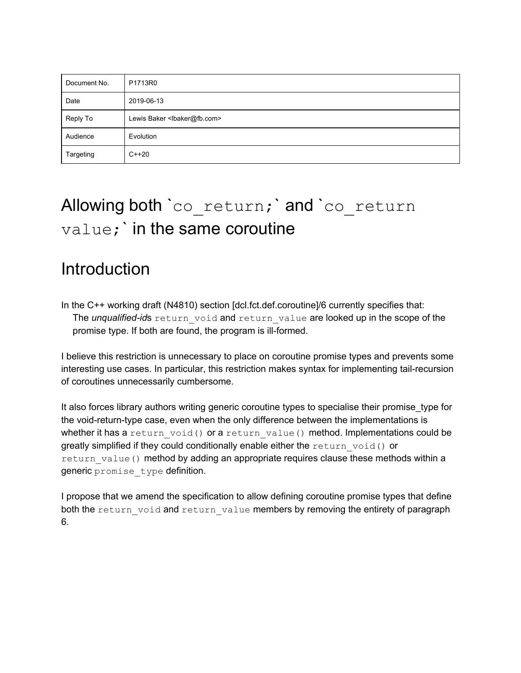| Document No. | P1713R0                                     |
|--------------|---------------------------------------------|
| Date         | 2019-06-13                                  |
| Reply To     | Lewis Baker <lbaker@fb.com></lbaker@fb.com> |
| Audience     | Evolution                                   |
| Targeting    | $C++20$                                     |

# Allowing both `co return; and `co return value;` in the same coroutine

## Introduction

In the C++ working draft (N4810) section [dcl.fct.def.coroutine]/6 currently specifies that: The *unqualified-id*s return void and return value are looked up in the scope of the promise type. If both are found, the program is ill-formed.

I believe this restriction is unnecessary to place on coroutine promise types and prevents some interesting use cases. In particular, this restriction makes syntax for implementing tail-recursion of coroutines unnecessarily cumbersome.

It also forces library authors writing generic coroutine types to specialise their promise\_type for the void-return-type case, even when the only difference between the implementations is whether it has a return void() or a return value() method. Implementations could be greatly simplified if they could conditionally enable either the return\_void() or return value() method by adding an appropriate requires clause these methods within a generic promise type definition.

I propose that we amend the specification to allow defining coroutine promise types that define both the return void and return value members by removing the entirety of paragraph 6.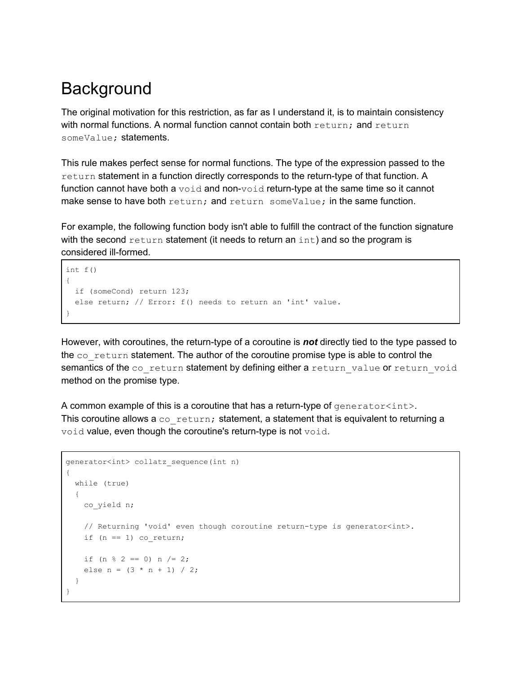## **Background**

The original motivation for this restriction, as far as I understand it, is to maintain consistency with normal functions. A normal function cannot contain both  $return$ ; and  $return$ someValue; statements.

This rule makes perfect sense for normal functions. The type of the expression passed to the return statement in a function directly corresponds to the return-type of that function. A function cannot have both a void and non-void return-type at the same time so it cannot make sense to have both return; and return someValue; in the same function.

For example, the following function body isn't able to fulfill the contract of the function signature with the second return statement (it needs to return an  $int$ ) and so the program is considered ill-formed.

```
int f()
{
  if (someCond) return 123;
   else return; // Error: f() needs to return an 'int' value.
}
```
However, with coroutines, the return-type of a coroutine is *not* directly tied to the type passed to the co\_return statement. The author of the coroutine promise type is able to control the semantics of the coareturn statement by defining either a return value or return void method on the promise type.

A common example of this is a coroutine that has a return-type of  $q$ enerator<int>. This coroutine allows a  $\cos$  return; statement, a statement that is equivalent to returning a void value, even though the coroutine's return-type is not void.

```
generator<int> collatz_sequence(int n)
{
  while (true)
  {
    co_yield n;
    // Returning 'void' even though coroutine return-type is generator<int>.
   if (n == 1) co_return;
   if (n \tbinom{2}{3} = 0) n /= 2;
    else n = (3 * n + 1) / 2; }
}
```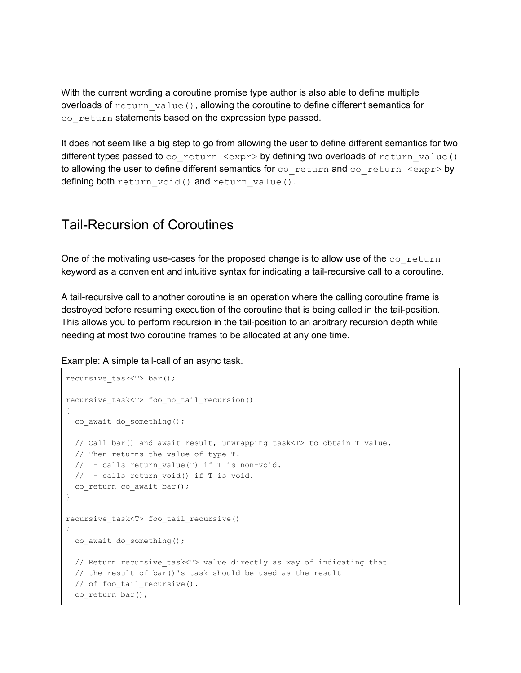With the current wording a coroutine promise type author is also able to define multiple overloads of return value(), allowing the coroutine to define different semantics for co return statements based on the expression type passed.

It does not seem like a big step to go from allowing the user to define different semantics for two different types passed to  $co$  return  $\langle expr\rangle$  by defining two overloads of return value() to allowing the user to define different semantics for co\_return and co\_return <expr> by defining both return void() and return value().

### Tail-Recursion of Coroutines

One of the motivating use-cases for the proposed change is to allow use of the  $co$  return keyword as a convenient and intuitive syntax for indicating a tail-recursive call to a coroutine.

A tail-recursive call to another coroutine is an operation where the calling coroutine frame is destroyed before resuming execution of the coroutine that is being called in the tail-position. This allows you to perform recursion in the tail-position to an arbitrary recursion depth while needing at most two coroutine frames to be allocated at any one time.

Example: A simple tail-call of an async task.

```
recursive task<T> bar();
recursive task<T> foo no tail recursion()
{
 co await do something();
  // Call bar() and await result, unwrapping task<T> to obtain T value.
  // Then returns the value of type T.
 // - calls return value(T) if T is non-void.
 // - calls return void() if T is void.
 co return co await bar();
}
recursive_task<T> foo_tail_recursive()
{
 co_await do something();
 // Return recursive task<T> value directly as way of indicating that
  // the result of bar()'s task should be used as the result
  // of foo_tail_recursive().
  co_return bar();
```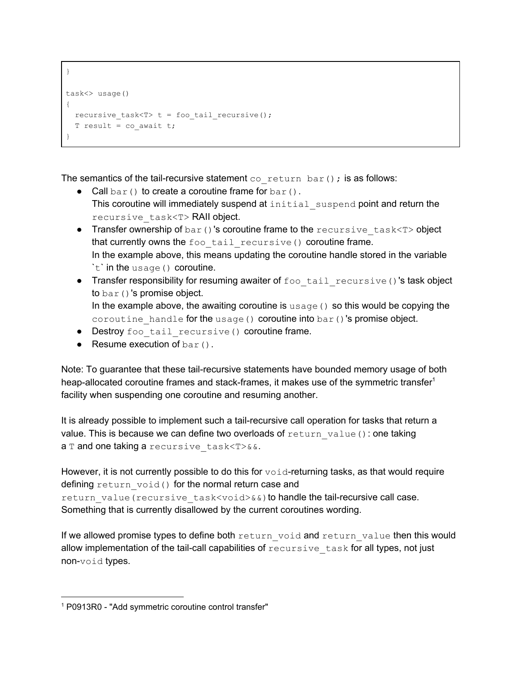```
}
task<> usage()
{
 recursive_task<T> t = foo tail recursive();
 T result = co await t;
}
```
The semantics of the tail-recursive statement  $\cos$  return bar(); is as follows:

- Call  $bar($ ) to create a coroutine frame for  $bar($ ). This coroutine will immediately suspend at initial suspend point and return the recursive\_task<T> RAII object.
- Transfer ownership of bar()'s coroutine frame to the recursive task<T> object that currently owns the foo tail recursive() coroutine frame. In the example above, this means updating the coroutine handle stored in the variable `t` in the usage() coroutine.
- Transfer responsibility for resuming awaiter of foo tail recursive()'s task object to bar()'s promise object. In the example above, the awaiting coroutine is  $usage()$  so this would be copying the coroutine handle for the usage() coroutine into bar()'s promise object.
- Destroy foo tail recursive() coroutine frame.
- Resume execution of  $bar($ ).

Note: To guarantee that these tail-recursive statements have bounded memory usage of both heap-allocated coroutine frames and stack-frames, it makes use of the symmetric transfer<sup>1</sup> facility when suspending one coroutine and resuming another.

It is already possible to implement such a tail-recursive call operation for tasks that return a value. This is because we can define two overloads of  $return$  value(): one taking a T and one taking a recursive task<T>&&.

However, it is not currently possible to do this for  $\text{void-returning tasks}$ , as that would require defining return void() for the normal return case and return value(recursive task<void>&&) to handle the tail-recursive call case. Something that is currently disallowed by the current coroutines wording.

If we allowed promise types to define both return void and return value then this would allow implementation of the tail-call capabilities of  $recursively$  task for all types, not just non-void types.

<sup>1</sup> P0913R0 - "Add symmetric coroutine control transfer"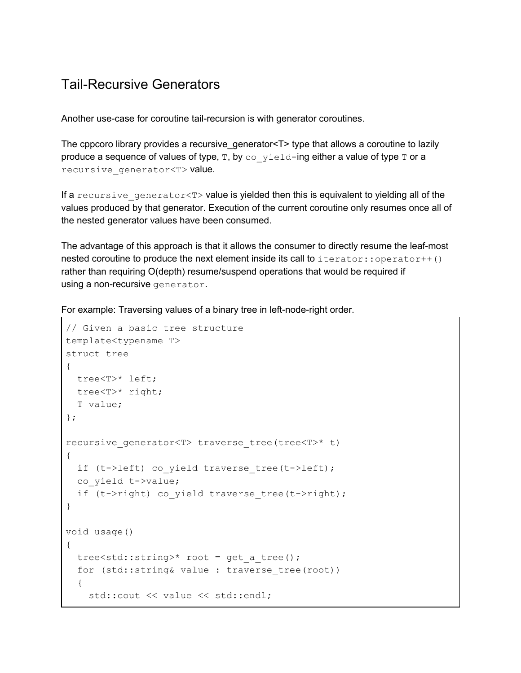### Tail-Recursive Generators

Another use-case for coroutine tail-recursion is with generator coroutines.

The cppcoro library provides a recursive\_generator<T> type that allows a coroutine to lazily produce a sequence of values of type,  $T$ , by  $\cos y$  ield-ing either a value of type  $T$  or a recursive generator<T> value.

If a recursive generator<T> value is yielded then this is equivalent to yielding all of the values produced by that generator. Execution of the current coroutine only resumes once all of the nested generator values have been consumed.

The advantage of this approach is that it allows the consumer to directly resume the leaf-most nested coroutine to produce the next element inside its call to  $\text{iterator}::\text{operator}++()$ rather than requiring O(depth) resume/suspend operations that would be required if using a non-recursive generator.

For example: Traversing values of a binary tree in left-node-right order.

```
// Given a basic tree structure
template<typename T>
struct tree
{
 tree<T>* left;
 tree<T>* right;
 T value;
};
recursive generator<T> traverse tree(tree<T>* t)
{
 if (t->left) co yield traverse tree(t->left);
 co_yield t->value;
 if (t->right) co yield traverse tree(t->right);
}
void usage()
{
 tree<std::string>* root = get a tree();
 for (std::string& value : traverse_tree(root))
  {
    std::cout << value << std::endl;
```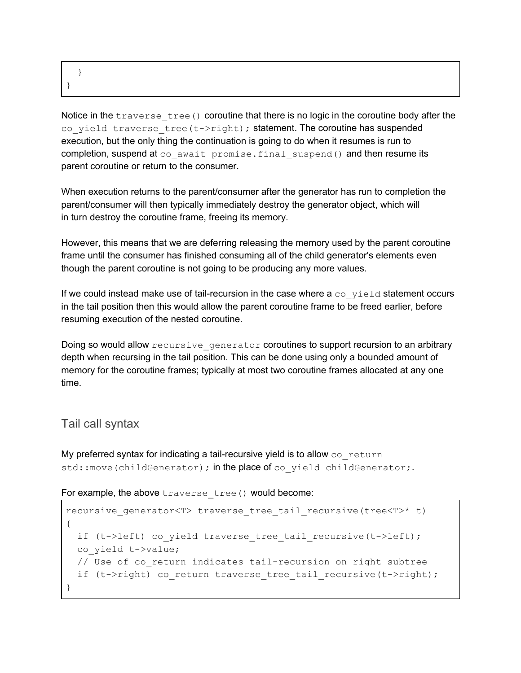}

}

Notice in the  $transer$  tree() coroutine that there is no logic in the coroutine body after the co yield traverse tree(t->right); statement. The coroutine has suspended execution, but the only thing the continuation is going to do when it resumes is run to completion, suspend at co await promise.final suspend() and then resume its parent coroutine or return to the consumer.

When execution returns to the parent/consumer after the generator has run to completion the parent/consumer will then typically immediately destroy the generator object, which will in turn destroy the coroutine frame, freeing its memory.

However, this means that we are deferring releasing the memory used by the parent coroutine frame until the consumer has finished consuming all of the child generator's elements even though the parent coroutine is not going to be producing any more values.

If we could instead make use of tail-recursion in the case where  $a \circ a$  yield statement occurs in the tail position then this would allow the parent coroutine frame to be freed earlier, before resuming execution of the nested coroutine.

Doing so would allow recursive generator coroutines to support recursion to an arbitrary depth when recursing in the tail position. This can be done using only a bounded amount of memory for the coroutine frames; typically at most two coroutine frames allocated at any one time.

#### Tail call syntax

My preferred syntax for indicating a tail-recursive yield is to allow  $\cos$  return std::move(childGenerator); in the place of co yield childGenerator;.

For example, the above traverse tree() would become:

```
recursive generator<T> traverse tree tail recursive(tree<T>* t)
{
 if (t->left) co yield traverse tree tail recursive(t->left);
 co_yield t->value;
 // Use of co return indicates tail-recursion on right subtree
 if (t->right) co return traverse tree tail recursive(t->right);
}
```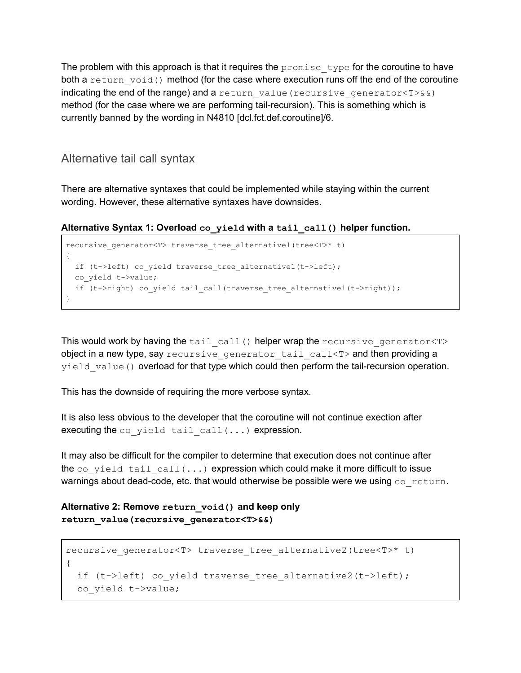The problem with this approach is that it requires the  $\gamma$  promise type for the coroutine to have both a return void() method (for the case where execution runs off the end of the coroutine indicating the end of the range) and a return value (recursive generator  $(T>\&\&)$ method (for the case where we are performing tail-recursion). This is something which is currently banned by the wording in N4810 [dcl.fct.def.coroutine]/6.

#### Alternative tail call syntax

There are alternative syntaxes that could be implemented while staying within the current wording. However, these alternative syntaxes have downsides.

**Alternative Syntax 1: Overload co\_yield with a tail\_call() helper function.**

```
recursive generator<T> traverse tree alternative1(tree<T>* t)
{
 if (t->left) co yield traverse tree alternative1(t->left);
  co_yield t->value;
 if (t->right) co yield tail call(traverse tree alternative1(t->right));
}
```
This would work by having the tail call() helper wrap the recursive generator<T> object in a new type, say recursive generator tail call<T> and then providing a yield value() overload for that type which could then perform the tail-recursion operation.

This has the downside of requiring the more verbose syntax.

It is also less obvious to the developer that the coroutine will not continue exection after executing the  $co$  yield tail  $call(...)$  expression.

It may also be difficult for the compiler to determine that execution does not continue after the co\_yield tail call( $\dots$ ) expression which could make it more difficult to issue warnings about dead-code, etc. that would otherwise be possible were we using  $\cos$  return.

**Alternative 2: Remove return\_void() and keep only return\_value(recursive\_generator<T>&&)**

```
recursive generator<T> traverse tree alternative2(tree<T>* t)
{
 if (t->left) co yield traverse tree alternative2(t->left);
 co_yield t->value;
```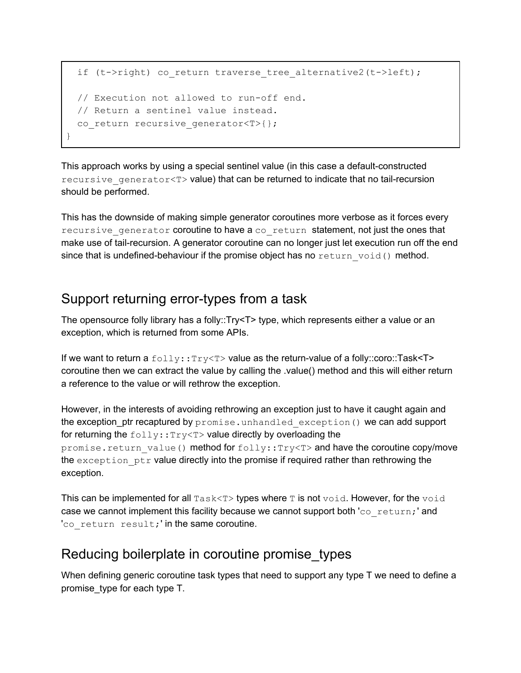```
if (t->right) co return traverse tree alternative2(t->left);
 // Execution not allowed to run-off end.
 // Return a sentinel value instead.
 co return recursive generator<T>{};
}
```
This approach works by using a special sentinel value (in this case a default-constructed recursive generator< $T$ > value) that can be returned to indicate that no tail-recursion should be performed.

This has the downside of making simple generator coroutines more verbose as it forces every recursive generator coroutine to have a coaracturn statement, not just the ones that make use of tail-recursion. A generator coroutine can no longer just let execution run off the end since that is undefined-behaviour if the promise object has no  $return$  void() method.

## Support returning error-types from a task

The opensource folly library has a folly::Try<T> type, which represents either a value or an exception, which is returned from some APIs.

If we want to return a  $f \circ 11y : r y \leq y$  value as the return-value of a folly::coro::Task<T> coroutine then we can extract the value by calling the .value() method and this will either return a reference to the value or will rethrow the exception.

However, in the interests of avoiding rethrowing an exception just to have it caught again and the exception\_ptr recaptured by promise.unhandled exception() we can add support for returning the  $f \circ 11y : Try \le T$  value directly by overloading the promise.return value() method for folly::Try<T> and have the coroutine copy/move the exception ptr value directly into the promise if required rather than rethrowing the exception.

This can be implemented for all  $\text{Task}\ll\text{T}$  types where  $\texttt{T}$  is not  $\text{void}$ . However, for the  $\text{void}$ case we cannot implement this facility because we cannot support both  $\text{c}$  return; ' and 'co return result;' in the same coroutine.

### Reducing boilerplate in coroutine promise\_types

When defining generic coroutine task types that need to support any type T we need to define a promise\_type for each type T.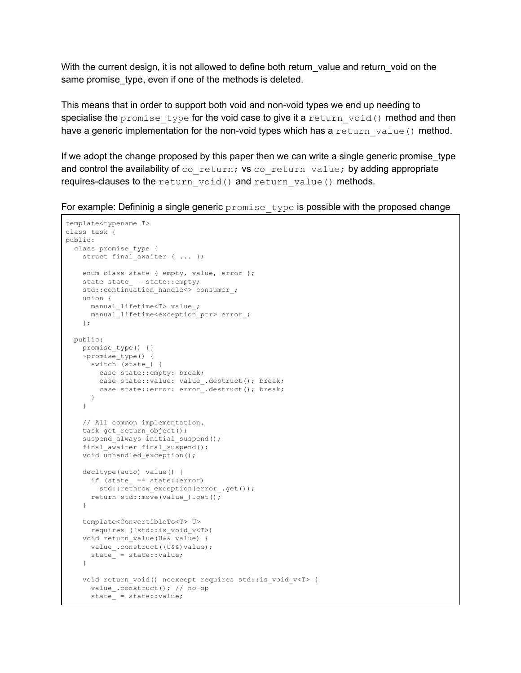With the current design, it is not allowed to define both return value and return void on the same promise\_type, even if one of the methods is deleted.

This means that in order to support both void and non-void types we end up needing to specialise the promise type for the void case to give it a return  $void()$  method and then have a generic implementation for the non-void types which has a return value() method.

If we adopt the change proposed by this paper then we can write a single generic promise type and control the availability of  $co$  return; vs  $co$  return value; by adding appropriate requires-clauses to the return void() and return value() methods.

For example: Defininig a single generic  $p_{\text{romise-type}}$  is possible with the proposed change

```
template<typename T>
class task {
public:
 class promise_type {
   struct final awaiter { ... };
   enum class state { empty, value, error };
   state state = state::empty;
   std::continuation handle<> consumer ;
   union {
    manual lifetime<T> value ;
     manual lifetime<exception_ptr> error_;
   };
 public:
   promise type() {}
    ~promise_type() {
     switch (state_) {
       case state::empty: break;
       case state::value: value .destruct(); break;
       case state::error: error .destruct(); break;
      }
    }
    // All common implementation.
    task get return object();
    suspend always initial suspend();
   final awaiter final suspend();
   void unhandled exception();
   decltype(auto) value() {
     if (state_ == state::error)
       std::rethrow exception(error .get());
     return std::move(value_).get();
   }
   template<ConvertibleTo<T> U>
     requires (!std::is_void_v<T>)
   void return_value(U&& value) {
     value .construct((U&&)value);
     state = state::value;
    }
   void return_void() noexcept requires std::is_void_v<T> {
     value_.construct(); // no-op
      state_ = state::value;
```